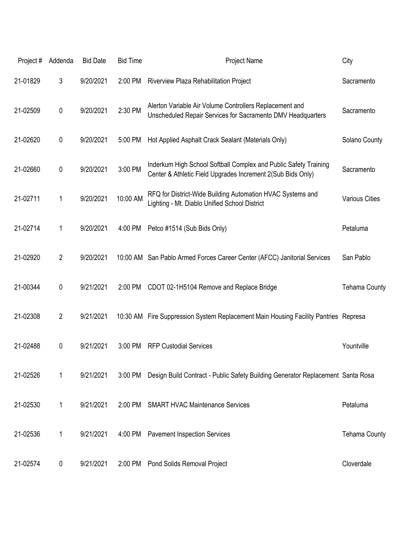| Project# | Addenda        | <b>Bid Date</b> | <b>Bid Time</b> | Project Name                                                                                                                    | City                  |
|----------|----------------|-----------------|-----------------|---------------------------------------------------------------------------------------------------------------------------------|-----------------------|
| 21-01829 | 3              | 9/20/2021       | 2:00 PM         | Riverview Plaza Rehabilitation Project                                                                                          | Sacramento            |
| 21-02509 | $\pmb{0}$      | 9/20/2021       | 2:30 PM         | Alerton Variable Air Volume Controllers Replacement and<br>Unscheduled Repair Services for Sacramento DMV Headquarters          | Sacramento            |
| 21-02620 | $\pmb{0}$      | 9/20/2021       | 5:00 PM         | Hot Applied Asphalt Crack Sealant (Materials Only)                                                                              | Solano County         |
| 21-02660 | $\pmb{0}$      | 9/20/2021       | 3:00 PM         | Inderkum High School Softball Complex and Public Safety Training<br>Center & Athletic Field Upgrades Increment 2(Sub Bids Only) | Sacramento            |
| 21-02711 | 1              | 9/20/2021       | 10:00 AM        | RFQ for District-Wide Building Automation HVAC Systems and<br>Lighting - Mt. Diablo Unified School District                     | <b>Various Cities</b> |
| 21-02714 | $\mathbf 1$    | 9/20/2021       | 4:00 PM         | Petco #1514 (Sub Bids Only)                                                                                                     | Petaluma              |
| 21-02920 | $\overline{2}$ | 9/20/2021       |                 | 10:00 AM San Pablo Armed Forces Career Center (AFCC) Janitorial Services                                                        | San Pablo             |
| 21-00344 | $\pmb{0}$      | 9/21/2021       | 2:00 PM         | CDOT 02-1H5104 Remove and Replace Bridge                                                                                        | <b>Tehama County</b>  |
| 21-02308 | $\overline{2}$ | 9/21/2021       |                 | 10:30 AM Fire Suppression System Replacement Main Housing Facility Pantries Represa                                             |                       |
| 21-02488 | $\pmb{0}$      | 9/21/2021       | 3:00 PM         | <b>RFP Custodial Services</b>                                                                                                   | Yountville            |
| 21-02526 | 1              | 9/21/2021       | 3:00 PM         | Design Build Contract - Public Safety Building Generator Replacement Santa Rosa                                                 |                       |
| 21-02530 | 1              | 9/21/2021       | 2:00 PM         | <b>SMART HVAC Maintenance Services</b>                                                                                          | Petaluma              |
| 21-02536 | 1              | 9/21/2021       | 4:00 PM         | <b>Pavement Inspection Services</b>                                                                                             | <b>Tehama County</b>  |
| 21-02574 | 0              | 9/21/2021       | 2:00 PM         | Pond Solids Removal Project                                                                                                     | Cloverdale            |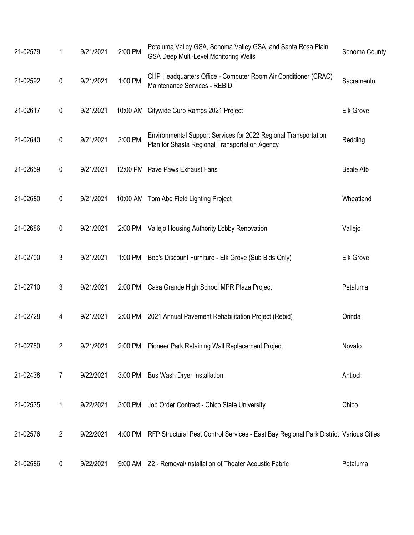| 21-02579 | 1              | 9/21/2021 | 2:00 PM | Petaluma Valley GSA, Sonoma Valley GSA, and Santa Rosa Plain<br><b>GSA Deep Multi-Level Monitoring Wells</b>      | Sonoma County    |
|----------|----------------|-----------|---------|-------------------------------------------------------------------------------------------------------------------|------------------|
| 21-02592 | $\mathbf 0$    | 9/21/2021 | 1:00 PM | CHP Headquarters Office - Computer Room Air Conditioner (CRAC)<br>Maintenance Services - REBID                    | Sacramento       |
| 21-02617 | 0              | 9/21/2021 |         | 10:00 AM Citywide Curb Ramps 2021 Project                                                                         | <b>Elk Grove</b> |
| 21-02640 | $\mathbf 0$    | 9/21/2021 | 3:00 PM | Environmental Support Services for 2022 Regional Transportation<br>Plan for Shasta Regional Transportation Agency | Redding          |
| 21-02659 | $\mathbf 0$    | 9/21/2021 |         | 12:00 PM Pave Paws Exhaust Fans                                                                                   | <b>Beale Afb</b> |
| 21-02680 | 0              | 9/21/2021 |         | 10:00 AM Tom Abe Field Lighting Project                                                                           | Wheatland        |
| 21-02686 | $\pmb{0}$      | 9/21/2021 | 2:00 PM | Vallejo Housing Authority Lobby Renovation                                                                        | Vallejo          |
| 21-02700 | 3              | 9/21/2021 | 1:00 PM | Bob's Discount Furniture - Elk Grove (Sub Bids Only)                                                              | <b>Elk Grove</b> |
| 21-02710 | 3              | 9/21/2021 | 2:00 PM | Casa Grande High School MPR Plaza Project                                                                         | Petaluma         |
| 21-02728 | 4              | 9/21/2021 | 2:00 PM | 2021 Annual Pavement Rehabilitation Project (Rebid)                                                               | Orinda           |
| 21-02780 | 2              |           |         | 9/21/2021 2:00 PM Pioneer Park Retaining Wall Replacement Project                                                 | Novato           |
| 21-02438 | $\overline{7}$ | 9/22/2021 | 3:00 PM | <b>Bus Wash Dryer Installation</b>                                                                                | Antioch          |
| 21-02535 | 1              | 9/22/2021 | 3:00 PM | Job Order Contract - Chico State University                                                                       | Chico            |
| 21-02576 | $\overline{2}$ | 9/22/2021 | 4:00 PM | RFP Structural Pest Control Services - East Bay Regional Park District Various Cities                             |                  |
| 21-02586 | 0              | 9/22/2021 |         | 9:00 AM Z2 - Removal/Installation of Theater Acoustic Fabric                                                      | Petaluma         |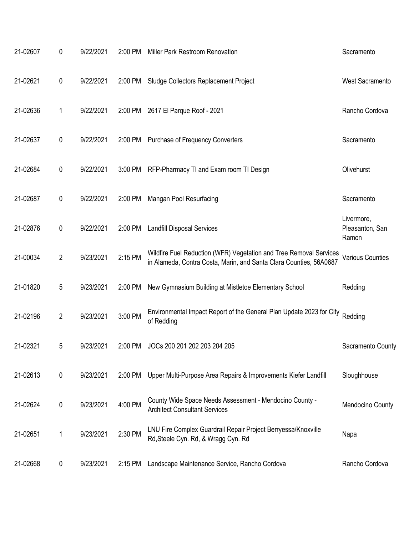| 21-02607 | 0              | 9/22/2021 | 2:00 PM   | Miller Park Restroom Renovation                                                                                                          | Sacramento                             |
|----------|----------------|-----------|-----------|------------------------------------------------------------------------------------------------------------------------------------------|----------------------------------------|
| 21-02621 | 0              | 9/22/2021 | 2:00 PM   | Sludge Collectors Replacement Project                                                                                                    | <b>West Sacramento</b>                 |
| 21-02636 | 1              | 9/22/2021 | 2:00 PM   | 2617 El Parque Roof - 2021                                                                                                               | Rancho Cordova                         |
| 21-02637 | 0              | 9/22/2021 |           | 2:00 PM Purchase of Frequency Converters                                                                                                 | Sacramento                             |
| 21-02684 | 0              | 9/22/2021 | $3:00$ PM | RFP-Pharmacy TI and Exam room TI Design                                                                                                  | Olivehurst                             |
| 21-02687 | 0              | 9/22/2021 | 2:00 PM   | Mangan Pool Resurfacing                                                                                                                  | Sacramento                             |
| 21-02876 | 0              | 9/22/2021 | 2:00 PM   | <b>Landfill Disposal Services</b>                                                                                                        | Livermore,<br>Pleasanton, San<br>Ramon |
| 21-00034 | $\overline{2}$ | 9/23/2021 | 2:15 PM   | Wildfire Fuel Reduction (WFR) Vegetation and Tree Removal Services<br>in Alameda, Contra Costa, Marin, and Santa Clara Counties, 56A0687 | <b>Various Counties</b>                |
| 21-01820 | 5              | 9/23/2021 | 2:00 PM   | New Gymnasium Building at Mistletoe Elementary School                                                                                    | Redding                                |
| 21-02196 | $\overline{2}$ | 9/23/2021 | 3:00 PM   | Environmental Impact Report of the General Plan Update 2023 for City<br>of Redding                                                       | Redding                                |
| 21-02321 | 5              | 9/23/2021 | 2:00 PM   | JOCs 200 201 202 203 204 205                                                                                                             | Sacramento County                      |
| 21-02613 | $\pmb{0}$      | 9/23/2021 | 2:00 PM   | Upper Multi-Purpose Area Repairs & Improvements Kiefer Landfill                                                                          | Sloughhouse                            |
| 21-02624 | 0              | 9/23/2021 | 4:00 PM   | County Wide Space Needs Assessment - Mendocino County -<br><b>Architect Consultant Services</b>                                          | Mendocino County                       |
| 21-02651 | 1              | 9/23/2021 | 2:30 PM   | LNU Fire Complex Guardrail Repair Project Berryessa/Knoxville<br>Rd, Steele Cyn. Rd, & Wragg Cyn. Rd                                     | Napa                                   |
| 21-02668 | 0              | 9/23/2021 | 2:15 PM   | Landscape Maintenance Service, Rancho Cordova                                                                                            | Rancho Cordova                         |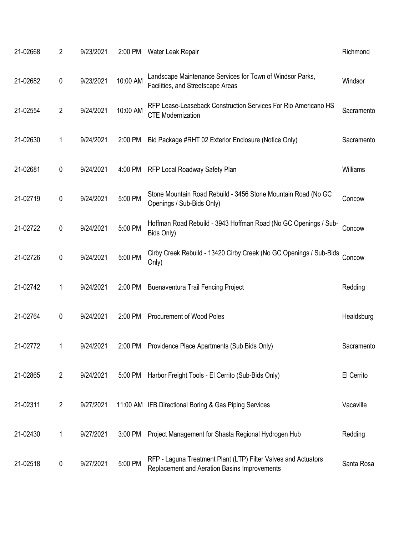|          | 21-02668 | 2              | 9/23/2021 | 2:00 PM  | Water Leak Repair                                                                                              | Richmond   |
|----------|----------|----------------|-----------|----------|----------------------------------------------------------------------------------------------------------------|------------|
|          | 21-02682 | 0              | 9/23/2021 | 10:00 AM | Landscape Maintenance Services for Town of Windsor Parks,<br>Facilities, and Streetscape Areas                 | Windsor    |
|          | 21-02554 | $\overline{2}$ | 9/24/2021 | 10:00 AM | RFP Lease-Leaseback Construction Services For Rio Americano HS<br><b>CTE Modernization</b>                     | Sacramento |
|          | 21-02630 | 1              | 9/24/2021 | 2:00 PM  | Bid Package #RHT 02 Exterior Enclosure (Notice Only)                                                           | Sacramento |
| 21-02681 |          | 0              | 9/24/2021 | 4:00 PM  | RFP Local Roadway Safety Plan                                                                                  | Williams   |
|          | 21-02719 | 0              | 9/24/2021 | 5:00 PM  | Stone Mountain Road Rebuild - 3456 Stone Mountain Road (No GC<br>Openings / Sub-Bids Only)                     | Concow     |
|          | 21-02722 | 0              | 9/24/2021 | 5:00 PM  | Hoffman Road Rebuild - 3943 Hoffman Road (No GC Openings / Sub-<br>Bids Only)                                  | Concow     |
|          | 21-02726 | 0              | 9/24/2021 | 5:00 PM  | Cirby Creek Rebuild - 13420 Cirby Creek (No GC Openings / Sub-Bids<br>Only)                                    | Concow     |
|          | 21-02742 | 1              | 9/24/2021 | 2:00 PM  | <b>Buenaventura Trail Fencing Project</b>                                                                      | Redding    |
|          | 21-02764 | 0              | 9/24/2021 | 2:00 PM  | <b>Procurement of Wood Poles</b>                                                                               | Healdsburg |
|          | 21-02772 | 1              | 9/24/2021 | 2:00 PM  | Providence Place Apartments (Sub Bids Only)                                                                    | Sacramento |
|          | 21-02865 | $\overline{2}$ | 9/24/2021 | 5:00 PM  | Harbor Freight Tools - El Cerrito (Sub-Bids Only)                                                              | El Cerrito |
| 21-02311 |          | 2              | 9/27/2021 |          | 11:00 AM IFB Directional Boring & Gas Piping Services                                                          | Vacaville  |
|          | 21-02430 | 1              | 9/27/2021 | 3:00 PM  | Project Management for Shasta Regional Hydrogen Hub                                                            | Redding    |
|          | 21-02518 | 0              | 9/27/2021 | 5:00 PM  | RFP - Laguna Treatment Plant (LTP) Filter Valves and Actuators<br>Replacement and Aeration Basins Improvements | Santa Rosa |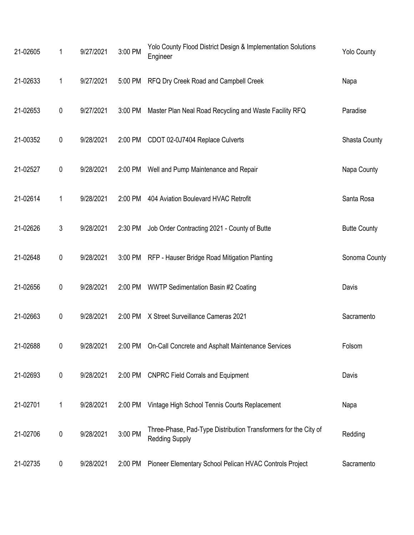| 21-02605 | 1           | 9/27/2021 | 3:00 PM | Yolo County Flood District Design & Implementation Solutions<br>Engineer                 | <b>Yolo County</b>   |
|----------|-------------|-----------|---------|------------------------------------------------------------------------------------------|----------------------|
| 21-02633 | 1           | 9/27/2021 | 5:00 PM | RFQ Dry Creek Road and Campbell Creek                                                    | Napa                 |
| 21-02653 | $\pmb{0}$   | 9/27/2021 | 3:00 PM | Master Plan Neal Road Recycling and Waste Facility RFQ                                   | Paradise             |
| 21-00352 | $\pmb{0}$   | 9/28/2021 | 2:00 PM | CDOT 02-0J7404 Replace Culverts                                                          | <b>Shasta County</b> |
| 21-02527 | $\pmb{0}$   | 9/28/2021 | 2:00 PM | Well and Pump Maintenance and Repair                                                     | Napa County          |
| 21-02614 | 1           | 9/28/2021 | 2:00 PM | 404 Aviation Boulevard HVAC Retrofit                                                     | Santa Rosa           |
| 21-02626 | 3           | 9/28/2021 | 2:30 PM | Job Order Contracting 2021 - County of Butte                                             | <b>Butte County</b>  |
| 21-02648 | $\mathbf 0$ | 9/28/2021 |         | 3:00 PM RFP - Hauser Bridge Road Mitigation Planting                                     | Sonoma County        |
| 21-02656 | $\pmb{0}$   | 9/28/2021 | 2:00 PM | <b>WWTP Sedimentation Basin #2 Coating</b>                                               | Davis                |
| 21-02663 | $\pmb{0}$   | 9/28/2021 | 2:00 PM | X Street Surveillance Cameras 2021                                                       | Sacramento           |
| 21-02688 | 0           | 9/28/2021 |         | 2:00 PM On-Call Concrete and Asphalt Maintenance Services                                | Folsom               |
| 21-02693 | $\pmb{0}$   | 9/28/2021 | 2:00 PM | <b>CNPRC Field Corrals and Equipment</b>                                                 | Davis                |
| 21-02701 | 1           | 9/28/2021 | 2:00 PM | Vintage High School Tennis Courts Replacement                                            | Napa                 |
| 21-02706 | $\pmb{0}$   | 9/28/2021 | 3:00 PM | Three-Phase, Pad-Type Distribution Transformers for the City of<br><b>Redding Supply</b> | Redding              |
| 21-02735 | 0           | 9/28/2021 | 2:00 PM | Pioneer Elementary School Pelican HVAC Controls Project                                  | Sacramento           |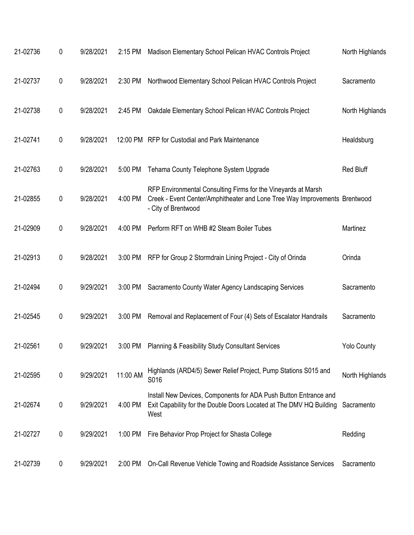| 21-02736 | 0 | 9/28/2021 | 2:15 PM  | Madison Elementary School Pelican HVAC Controls Project                                                                                                            | North Highlands    |
|----------|---|-----------|----------|--------------------------------------------------------------------------------------------------------------------------------------------------------------------|--------------------|
| 21-02737 | 0 | 9/28/2021 | 2:30 PM  | Northwood Elementary School Pelican HVAC Controls Project                                                                                                          | Sacramento         |
| 21-02738 | 0 | 9/28/2021 | 2:45 PM  | Oakdale Elementary School Pelican HVAC Controls Project                                                                                                            | North Highlands    |
| 21-02741 | 0 | 9/28/2021 |          | 12:00 PM RFP for Custodial and Park Maintenance                                                                                                                    | Healdsburg         |
| 21-02763 | 0 | 9/28/2021 | 5:00 PM  | Tehama County Telephone System Upgrade                                                                                                                             | <b>Red Bluff</b>   |
| 21-02855 | 0 | 9/28/2021 | 4:00 PM  | RFP Environmental Consulting Firms for the Vineyards at Marsh<br>Creek - Event Center/Amphitheater and Lone Tree Way Improvements Brentwood<br>- City of Brentwood |                    |
| 21-02909 | 0 | 9/28/2021 | 4:00 PM  | Perform RFT on WHB #2 Steam Boiler Tubes                                                                                                                           | Martinez           |
| 21-02913 | 0 | 9/28/2021 | 3:00 PM  | RFP for Group 2 Stormdrain Lining Project - City of Orinda                                                                                                         | Orinda             |
| 21-02494 | 0 | 9/29/2021 | 3:00 PM  | Sacramento County Water Agency Landscaping Services                                                                                                                | Sacramento         |
| 21-02545 | 0 | 9/29/2021 | 3:00 PM  | Removal and Replacement of Four (4) Sets of Escalator Handrails                                                                                                    | Sacramento         |
| 21-02561 | 0 | 9/29/2021 | 3:00 PM  | Planning & Feasibility Study Consultant Services                                                                                                                   | <b>Yolo County</b> |
| 21-02595 | 0 | 9/29/2021 | 11:00 AM | Highlands (ARD4/5) Sewer Relief Project, Pump Stations S015 and<br>S016                                                                                            | North Highlands    |
| 21-02674 | 0 | 9/29/2021 | 4:00 PM  | Install New Devices, Components for ADA Push Button Entrance and<br>Exit Capability for the Double Doors Located at The DMV HQ Building<br>West                    | Sacramento         |
| 21-02727 | 0 | 9/29/2021 | 1:00 PM  | Fire Behavior Prop Project for Shasta College                                                                                                                      | Redding            |
| 21-02739 | 0 | 9/29/2021 | 2:00 PM  | On-Call Revenue Vehicle Towing and Roadside Assistance Services                                                                                                    | Sacramento         |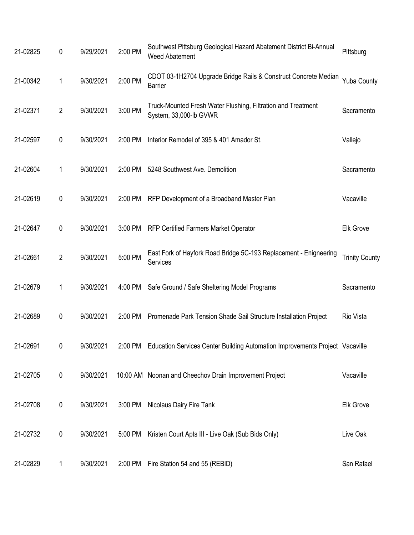| 21-02825 | 0              | 9/29/2021 | 2:00 PM | Southwest Pittsburg Geological Hazard Abatement District Bi-Annual<br><b>Weed Abatement</b> | Pittsburg             |
|----------|----------------|-----------|---------|---------------------------------------------------------------------------------------------|-----------------------|
| 21-00342 | 1              | 9/30/2021 | 2:00 PM | CDOT 03-1H2704 Upgrade Bridge Rails & Construct Concrete Median<br><b>Barrier</b>           | <b>Yuba County</b>    |
| 21-02371 | $\overline{2}$ | 9/30/2021 | 3:00 PM | Truck-Mounted Fresh Water Flushing, Filtration and Treatment<br>System, 33,000-lb GVWR      | Sacramento            |
| 21-02597 | 0              | 9/30/2021 | 2:00 PM | Interior Remodel of 395 & 401 Amador St.                                                    | Vallejo               |
| 21-02604 | 1              | 9/30/2021 | 2:00 PM | 5248 Southwest Ave. Demolition                                                              | Sacramento            |
| 21-02619 | 0              | 9/30/2021 | 2:00 PM | RFP Development of a Broadband Master Plan                                                  | Vacaville             |
| 21-02647 | 0              | 9/30/2021 | 3:00 PM | <b>RFP Certified Farmers Market Operator</b>                                                | <b>Elk Grove</b>      |
| 21-02661 | $\overline{2}$ | 9/30/2021 | 5:00 PM | East Fork of Hayfork Road Bridge 5C-193 Replacement - Enigneering<br>Services               | <b>Trinity County</b> |
| 21-02679 | 1              | 9/30/2021 | 4:00 PM | Safe Ground / Safe Sheltering Model Programs                                                | Sacramento            |
| 21-02689 | 0              | 9/30/2021 | 2:00 PM | Promenade Park Tension Shade Sail Structure Installation Project                            | Rio Vista             |
| 21-02691 | 0              | 9/30/2021 |         | 2:00 PM Education Services Center Building Automation Improvements Project Vacaville        |                       |
| 21-02705 | 0              | 9/30/2021 |         | 10:00 AM Noonan and Cheechov Drain Improvement Project                                      | Vacaville             |
| 21-02708 | 0              | 9/30/2021 | 3:00 PM | Nicolaus Dairy Fire Tank                                                                    | Elk Grove             |
| 21-02732 | 0              | 9/30/2021 | 5:00 PM | Kristen Court Apts III - Live Oak (Sub Bids Only)                                           | Live Oak              |
| 21-02829 | 1              | 9/30/2021 | 2:00 PM | Fire Station 54 and 55 (REBID)                                                              | San Rafael            |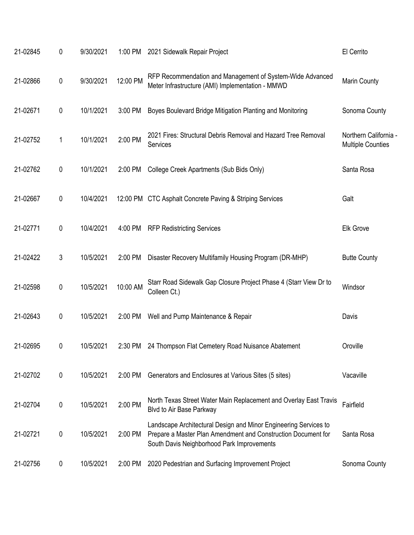| 21-02845 | 0 | 9/30/2021 | 1:00 PM  | 2021 Sidewalk Repair Project                                                                                                                                                    | El Cerrito                                        |
|----------|---|-----------|----------|---------------------------------------------------------------------------------------------------------------------------------------------------------------------------------|---------------------------------------------------|
| 21-02866 | 0 | 9/30/2021 | 12:00 PM | RFP Recommendation and Management of System-Wide Advanced<br>Meter Infrastructure (AMI) Implementation - MMWD                                                                   | Marin County                                      |
| 21-02671 | 0 | 10/1/2021 | 3:00 PM  | Boyes Boulevard Bridge Mitigation Planting and Monitoring                                                                                                                       | Sonoma County                                     |
| 21-02752 | 1 | 10/1/2021 | 2:00 PM  | 2021 Fires: Structural Debris Removal and Hazard Tree Removal<br>Services                                                                                                       | Northern California -<br><b>Multiple Counties</b> |
| 21-02762 | 0 | 10/1/2021 | 2:00 PM  | College Creek Apartments (Sub Bids Only)                                                                                                                                        | Santa Rosa                                        |
| 21-02667 | 0 | 10/4/2021 |          | 12:00 PM CTC Asphalt Concrete Paving & Striping Services                                                                                                                        | Galt                                              |
| 21-02771 | 0 | 10/4/2021 | 4:00 PM  | <b>RFP Redistricting Services</b>                                                                                                                                               | Elk Grove                                         |
| 21-02422 | 3 | 10/5/2021 | 2:00 PM  | Disaster Recovery Multifamily Housing Program (DR-MHP)                                                                                                                          | <b>Butte County</b>                               |
| 21-02598 | 0 | 10/5/2021 | 10:00 AM | Starr Road Sidewalk Gap Closure Project Phase 4 (Starr View Dr to<br>Colleen Ct.)                                                                                               | Windsor                                           |
| 21-02643 | 0 | 10/5/2021 | 2:00 PM  | Well and Pump Maintenance & Repair                                                                                                                                              | Davis                                             |
| 21-02695 | 0 | 10/5/2021 | 2:30 PM  | 24 Thompson Flat Cemetery Road Nuisance Abatement                                                                                                                               | Oroville                                          |
| 21-02702 | 0 | 10/5/2021 | 2:00 PM  | Generators and Enclosures at Various Sites (5 sites)                                                                                                                            | Vacaville                                         |
| 21-02704 | 0 | 10/5/2021 | 2:00 PM  | North Texas Street Water Main Replacement and Overlay East Travis<br>Blvd to Air Base Parkway                                                                                   | Fairfield                                         |
| 21-02721 | 0 | 10/5/2021 | 2:00 PM  | Landscape Architectural Design and Minor Engineering Services to<br>Prepare a Master Plan Amendment and Construction Document for<br>South Davis Neighborhood Park Improvements | Santa Rosa                                        |
| 21-02756 | 0 | 10/5/2021 | 2:00 PM  | 2020 Pedestrian and Surfacing Improvement Project                                                                                                                               | Sonoma County                                     |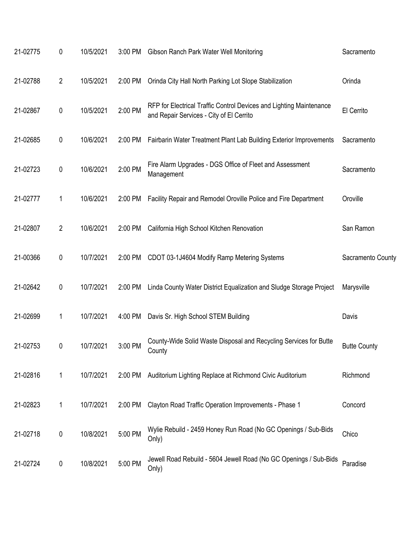| 21-02775 | 0              | 10/5/2021 | 3:00 PM | Gibson Ranch Park Water Well Monitoring                                                                         | Sacramento          |
|----------|----------------|-----------|---------|-----------------------------------------------------------------------------------------------------------------|---------------------|
| 21-02788 | 2              | 10/5/2021 | 2:00 PM | Orinda City Hall North Parking Lot Slope Stabilization                                                          | Orinda              |
| 21-02867 | 0              | 10/5/2021 | 2:00 PM | RFP for Electrical Traffic Control Devices and Lighting Maintenance<br>and Repair Services - City of El Cerrito | El Cerrito          |
| 21-02685 | 0              | 10/6/2021 | 2:00 PM | Fairbarin Water Treatment Plant Lab Building Exterior Improvements                                              | Sacramento          |
| 21-02723 | 0              | 10/6/2021 | 2:00 PM | Fire Alarm Upgrades - DGS Office of Fleet and Assessment<br>Management                                          | Sacramento          |
| 21-02777 | 1              | 10/6/2021 | 2:00 PM | Facility Repair and Remodel Oroville Police and Fire Department                                                 | Oroville            |
| 21-02807 | $\overline{2}$ | 10/6/2021 | 2:00 PM | California High School Kitchen Renovation                                                                       | San Ramon           |
| 21-00366 | 0              | 10/7/2021 | 2:00 PM | CDOT 03-1J4604 Modify Ramp Metering Systems                                                                     | Sacramento County   |
| 21-02642 | 0              | 10/7/2021 | 2:00 PM | Linda County Water District Equalization and Sludge Storage Project                                             | Marysville          |
| 21-02699 | 1              | 10/7/2021 | 4:00 PM | Davis Sr. High School STEM Building                                                                             | Davis               |
| 21-02753 | 0              | 10/7/2021 | 3:00 PM | County-Wide Solid Waste Disposal and Recycling Services for Butte<br>County                                     | <b>Butte County</b> |
| 21-02816 | 1              | 10/7/2021 | 2:00 PM | Auditorium Lighting Replace at Richmond Civic Auditorium                                                        | Richmond            |
| 21-02823 | 1              | 10/7/2021 | 2:00 PM | Clayton Road Traffic Operation Improvements - Phase 1                                                           | Concord             |
| 21-02718 | $\pmb{0}$      | 10/8/2021 | 5:00 PM | Wylie Rebuild - 2459 Honey Run Road (No GC Openings / Sub-Bids<br>Only)                                         | Chico               |
| 21-02724 | 0              | 10/8/2021 | 5:00 PM | Jewell Road Rebuild - 5604 Jewell Road (No GC Openings / Sub-Bids<br>Only)                                      | Paradise            |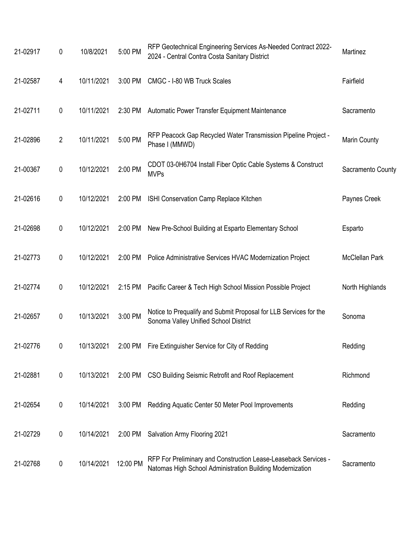| 21-02917 | 0              | 10/8/2021  | 5:00 PM   | RFP Geotechnical Engineering Services As-Needed Contract 2022-<br>2024 - Central Contra Costa Sanitary District              | Martinez              |
|----------|----------------|------------|-----------|------------------------------------------------------------------------------------------------------------------------------|-----------------------|
| 21-02587 | 4              | 10/11/2021 | 3:00 PM   | CMGC - I-80 WB Truck Scales                                                                                                  | Fairfield             |
| 21-02711 | $\pmb{0}$      | 10/11/2021 | 2:30 PM   | Automatic Power Transfer Equipment Maintenance                                                                               | Sacramento            |
| 21-02896 | $\overline{2}$ | 10/11/2021 | 5:00 PM   | RFP Peacock Gap Recycled Water Transmission Pipeline Project -<br>Phase I (MMWD)                                             | Marin County          |
| 21-00367 | $\pmb{0}$      | 10/12/2021 | 2:00 PM   | CDOT 03-0H6704 Install Fiber Optic Cable Systems & Construct<br><b>MVPs</b>                                                  | Sacramento County     |
| 21-02616 | 0              | 10/12/2021 | 2:00 PM   | ISHI Conservation Camp Replace Kitchen                                                                                       | Paynes Creek          |
| 21-02698 | 0              | 10/12/2021 | 2:00 PM   | New Pre-School Building at Esparto Elementary School                                                                         | Esparto               |
| 21-02773 | $\pmb{0}$      | 10/12/2021 | 2:00 PM   | Police Administrative Services HVAC Modernization Project                                                                    | <b>McClellan Park</b> |
| 21-02774 | 0              | 10/12/2021 | $2:15$ PM | Pacific Career & Tech High School Mission Possible Project                                                                   | North Highlands       |
| 21-02657 | 0              | 10/13/2021 | 3:00 PM   | Notice to Prequalify and Submit Proposal for LLB Services for the<br>Sonoma Valley Unified School District                   | Sonoma                |
| 21-02776 | 0              | 10/13/2021 |           | 2:00 PM Fire Extinguisher Service for City of Redding                                                                        | Redding               |
| 21-02881 | $\pmb{0}$      | 10/13/2021 |           | 2:00 PM CSO Building Seismic Retrofit and Roof Replacement                                                                   | Richmond              |
| 21-02654 | 0              | 10/14/2021 | 3:00 PM   | Redding Aquatic Center 50 Meter Pool Improvements                                                                            | Redding               |
| 21-02729 | 0              | 10/14/2021 | 2:00 PM   | Salvation Army Flooring 2021                                                                                                 | Sacramento            |
| 21-02768 | 0              | 10/14/2021 | 12:00 PM  | RFP For Preliminary and Construction Lease-Leaseback Services -<br>Natomas High School Administration Building Modernization | Sacramento            |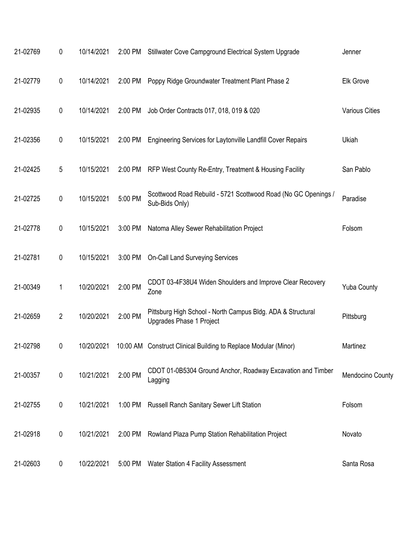| 21-02769 | 0              | 10/14/2021 | 2:00 PM | Stillwater Cove Campground Electrical System Upgrade                                    | Jenner                |
|----------|----------------|------------|---------|-----------------------------------------------------------------------------------------|-----------------------|
| 21-02779 | $\pmb{0}$      | 10/14/2021 | 2:00 PM | Poppy Ridge Groundwater Treatment Plant Phase 2                                         | <b>Elk Grove</b>      |
| 21-02935 | $\pmb{0}$      | 10/14/2021 | 2:00 PM | Job Order Contracts 017, 018, 019 & 020                                                 | <b>Various Cities</b> |
| 21-02356 | $\pmb{0}$      | 10/15/2021 | 2:00 PM | Engineering Services for Laytonville Landfill Cover Repairs                             | Ukiah                 |
| 21-02425 | 5              | 10/15/2021 | 2:00 PM | RFP West County Re-Entry, Treatment & Housing Facility                                  | San Pablo             |
| 21-02725 | $\pmb{0}$      | 10/15/2021 | 5:00 PM | Scottwood Road Rebuild - 5721 Scottwood Road (No GC Openings /<br>Sub-Bids Only)        | Paradise              |
| 21-02778 | 0              | 10/15/2021 | 3:00 PM | Natoma Alley Sewer Rehabilitation Project                                               | Folsom                |
| 21-02781 | $\pmb{0}$      | 10/15/2021 | 3:00 PM | <b>On-Call Land Surveying Services</b>                                                  |                       |
| 21-00349 | 1              | 10/20/2021 | 2:00 PM | CDOT 03-4F38U4 Widen Shoulders and Improve Clear Recovery<br>Zone                       | <b>Yuba County</b>    |
| 21-02659 | $\overline{2}$ | 10/20/2021 | 2:00 PM | Pittsburg High School - North Campus Bldg. ADA & Structural<br>Upgrades Phase 1 Project | Pittsburg             |
| 21-02798 | 0              | 10/20/2021 |         | 10:00 AM Construct Clinical Building to Replace Modular (Minor)                         | Martinez              |
| 21-00357 | $\pmb{0}$      | 10/21/2021 | 2:00 PM | CDOT 01-0B5304 Ground Anchor, Roadway Excavation and Timber<br>Lagging                  | Mendocino County      |
| 21-02755 | $\pmb{0}$      | 10/21/2021 | 1:00 PM | <b>Russell Ranch Sanitary Sewer Lift Station</b>                                        | Folsom                |
| 21-02918 | $\pmb{0}$      | 10/21/2021 | 2:00 PM | Rowland Plaza Pump Station Rehabilitation Project                                       | Novato                |
| 21-02603 | 0              | 10/22/2021 | 5:00 PM | <b>Water Station 4 Facility Assessment</b>                                              | Santa Rosa            |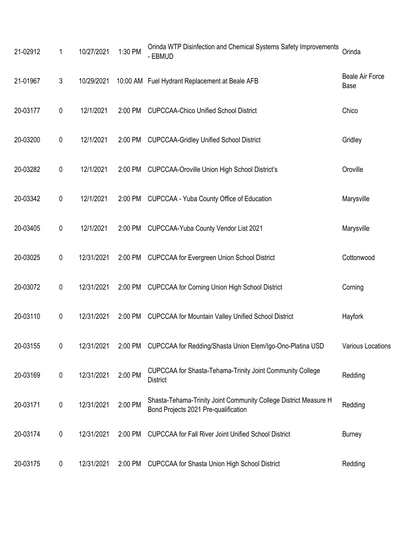| 21-02912 | 1              | 10/27/2021 | 1:30 PM | Orinda WTP Disinfection and Chemical Systems Safety Improvements<br>- EBMUD                              | Orinda                         |
|----------|----------------|------------|---------|----------------------------------------------------------------------------------------------------------|--------------------------------|
| 21-01967 | $\mathfrak{Z}$ | 10/29/2021 |         | 10:00 AM Fuel Hydrant Replacement at Beale AFB                                                           | <b>Beale Air Force</b><br>Base |
| 20-03177 | $\pmb{0}$      | 12/1/2021  | 2:00 PM | <b>CUPCCAA-Chico Unified School District</b>                                                             | Chico                          |
| 20-03200 | 0              | 12/1/2021  | 2:00 PM | <b>CUPCCAA-Gridley Unified School District</b>                                                           | Gridley                        |
| 20-03282 | 0              | 12/1/2021  | 2:00 PM | <b>CUPCCAA-Oroville Union High School District's</b>                                                     | Oroville                       |
| 20-03342 | 0              | 12/1/2021  | 2:00 PM | CUPCCAA - Yuba County Office of Education                                                                | Marysville                     |
| 20-03405 | 0              | 12/1/2021  | 2:00 PM | CUPCCAA-Yuba County Vendor List 2021                                                                     | Marysville                     |
| 20-03025 | 0              | 12/31/2021 | 2:00 PM | <b>CUPCCAA for Evergreen Union School District</b>                                                       | Cottonwood                     |
| 20-03072 | 0              | 12/31/2021 | 2:00 PM | <b>CUPCCAA for Corning Union High School District</b>                                                    | Corning                        |
| 20-03110 | $\pmb{0}$      | 12/31/2021 | 2:00 PM | <b>CUPCCAA for Mountain Valley Unified School District</b>                                               | Hayfork                        |
| 20-03155 | 0              | 12/31/2021 |         | 2:00 PM CUPCCAA for Redding/Shasta Union Elem/Igo-Ono-Platina USD                                        | Various Locations              |
| 20-03169 | $\pmb{0}$      | 12/31/2021 | 2:00 PM | CUPCCAA for Shasta-Tehama-Trinity Joint Community College<br><b>District</b>                             | Redding                        |
| 20-03171 | $\pmb{0}$      | 12/31/2021 | 2:00 PM | Shasta-Tehama-Trinity Joint Community College District Measure H<br>Bond Projects 2021 Pre-qualification | Redding                        |
| 20-03174 | 0              | 12/31/2021 | 2:00 PM | <b>CUPCCAA for Fall River Joint Unified School District</b>                                              | <b>Burney</b>                  |
| 20-03175 | 0              | 12/31/2021 | 2:00 PM | <b>CUPCCAA for Shasta Union High School District</b>                                                     | Redding                        |